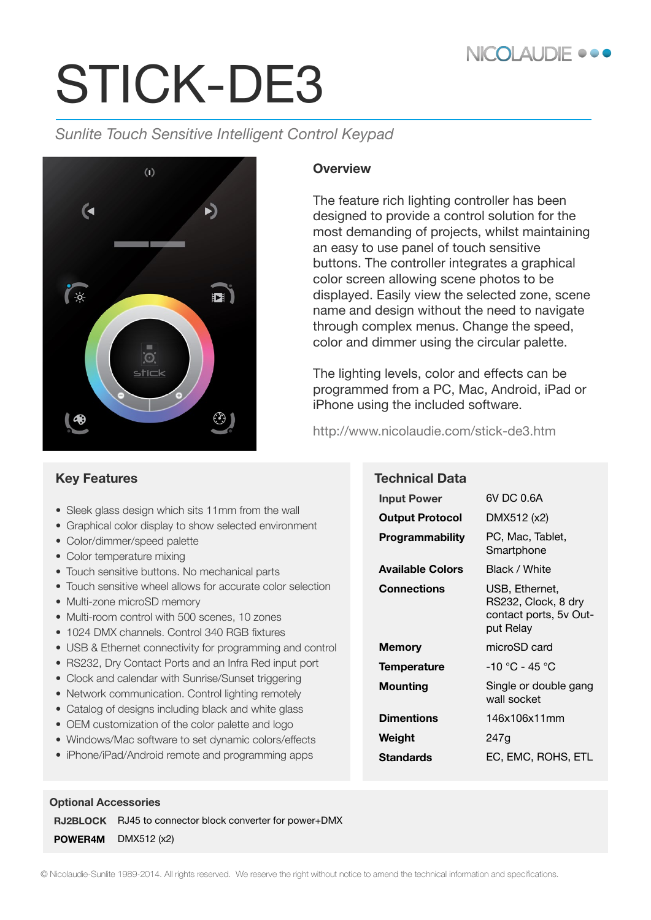## NICOLAUDIE •••

# STICK-DE3

*Sunlite Touch Sensitive Intelligent Control Keypad*



#### **Overview**

The feature rich lighting controller has been designed to provide a control solution for the most demanding of projects, whilst maintaining an easy to use panel of touch sensitive buttons. The controller integrates a graphical color screen allowing scene photos to be displayed. Easily view the selected zone, scene name and design without the need to navigate through complex menus. Change the speed, color and dimmer using the circular palette.

The lighting levels, color and effects can be programmed from a PC, Mac, Android, iPad or iPhone using the included software.

http://www.nicolaudie.com/stick-de3.htm

|  | <b>Key Features</b> |
|--|---------------------|
|--|---------------------|

- Sleek glass design which sits 11mm from the wall
- Graphical color display to show selected environment
- Color/dimmer/speed palette
- Color temperature mixing
- Touch sensitive buttons. No mechanical parts
- Touch sensitive wheel allows for accurate color selection
- Multi-zone microSD memory
- Multi-room control with 500 scenes, 10 zones
- 1024 DMX channels. Control 340 RGB fixtures
- USB & Ethernet connectivity for programming and control
- RS232, Dry Contact Ports and an Infra Red input port
- Clock and calendar with Sunrise/Sunset triggering
- Network communication. Control lighting remotely
- Catalog of designs including black and white glass
- OEM customization of the color palette and logo
- Windows/Mac software to set dynamic colors/effects
- iPhone/iPad/Android remote and programming apps

**Technical Data Input Power** 6V DC 0.6A **Output Protocol** DMX512 (x2) **Programmability** PC, Mac, Tablet, **Smartphone Available Colors** Black / White **Connections** USB, Ethernet, RS232, Clock, 8 dry contact ports, 5v Output Relay **Memory** microSD card **Temperature** -10 °C - 45 °C **Mounting** Single or double gang wall socket **Dimentions** 146x106x11mm **Weight** 247g **Standards** EC, EMC, ROHS, ETL

#### **Optional Accessories**

**RJ2BLOCK** RJ45 to connector block converter for power+DMX

**POWER4M** DMX512 (x2)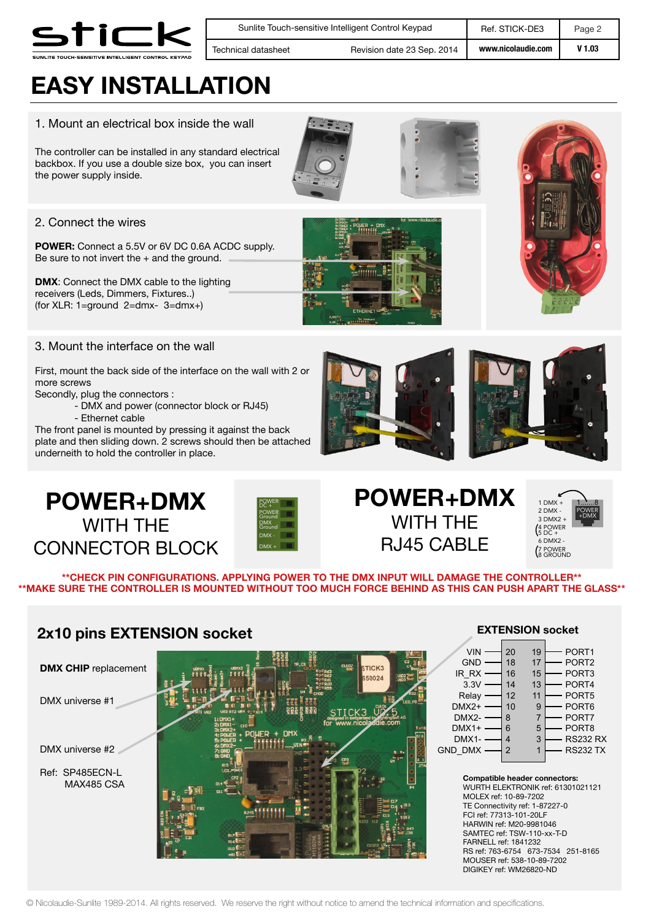

**www.nicolaudie.com** Sunlite Touch-sensitive Intelligent Control Keypad Ref. STICK-DE3 Page 2 **V 1.03** Technical datasheet Revision date 23 Sep. 2014

## **EASY INSTALLATION**

#### 1. Mount an electrical box inside the wall

The controller can be installed in any standard electrical backbox. If you use a double size box, you can insert the power supply inside.

#### 2. Connect the wires

**POWER:** Connect a 5.5V or 6V DC 0.6A ACDC supply. Be sure to not invert the  $+$  and the ground.

**DMX**: Connect the DMX cable to the lighting receivers (Leds, Dimmers, Fixtures..) (for XLR: 1=ground 2=dmx- 3=dmx+)

#### 3. Mount the interface on the wall

First, mount the back side of the interface on the wall with 2 or more screws

Secondly, plug the connectors :

- DMX and power (connector block or RJ45)
- Ethernet cable

The front panel is mounted by pressing it against the back plate and then sliding down. 2 screws should then be attached underneith to hold the controller in place.









## **POWER+DMX** WITH THE RJ45 CABLE



**\*\*CHECK PIN CONFIGURATIONS. APPLYING POWER TO THE DMX INPUT WILL DAMAGE THE CONTROLLER\*\* \*\*MAKE SURE THE CONTROLLER IS MOUNTED WITHOUT TOO MUCH FORCE BEHIND AS THIS CAN PUSH APART THE GLASS\*\*** 

#### **2x10 pins EXTENSION socket**



#### **EXTENSION socket**

**Compatible header connectors:** WURTH ELEKTRONIK ref: 61301021121 MOLEX ref: 10-89-7202 TE Connectivity ref: 1-87227-0 FCI ref: 77313-101-20LF HARWIN ref: M20-9981046 SAMTEC ref: TSW-110-xx-T-D FARNELL ref: 1841232 RS ref: 763-6754 673-7534 251-8165 MOUSER ref: 538-10-89-7202 DIGIKEY ref: WM26820-ND

© Nicolaudie-Sunlite 1989-2014. All rights reserved. We reserve the right without notice to amend the technical information and specifications.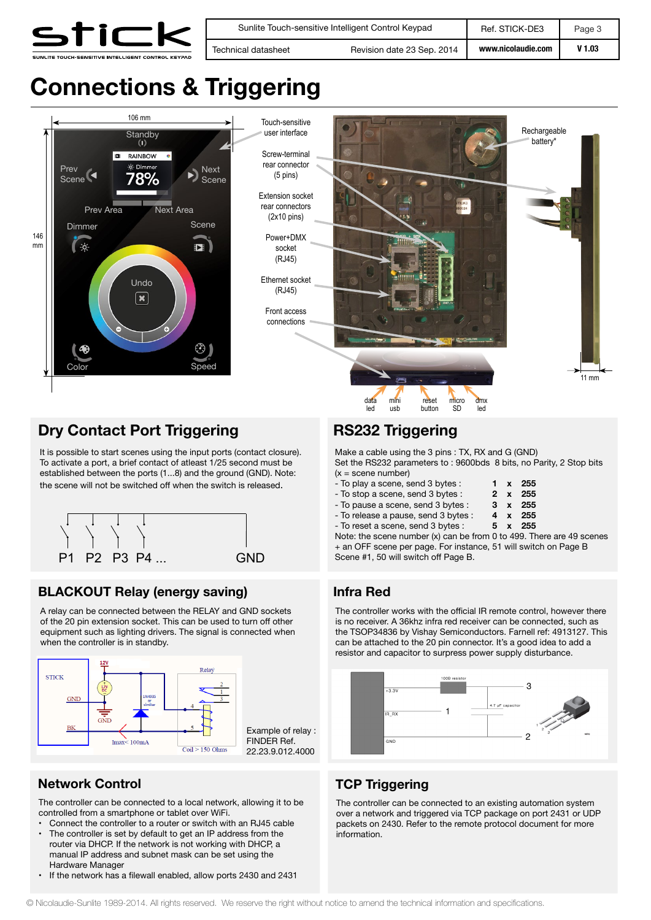

## **Connections & Triggering**



#### **Dry Contact Port Triggering**

It is possible to start scenes using the input ports (contact closure). To activate a port, a brief contact of atleast 1/25 second must be established between the ports (1...8) and the ground (GND). Note: the scene will not be switched off when the switch is released.



#### **BLACKOUT Relay (energy saving)**

A relay can be connected between the RELAY and GND sockets of the 20 pin extension socket. This can be used to turn off other equipment such as lighting drivers. The signal is connected when when the controller is in standby.



#### **Network Control TCP Triggering**

The controller can be connected to a local network, allowing it to be controlled from a smartphone or tablet over WiFi.

- Connect the controller to a router or switch with an RJ45 cable<br>• The controller is set by default to get an IP address from the
- The controller is set by default to get an IP address from the router via DHCP. If the network is not working with DHCP, a manual IP address and subnet mask can be set using the Hardware Manager
- If the network has a filewall enabled, allow ports 2430 and 2431

### **RS232 Triggering**

Make a cable using the 3 pins : TX, RX and G (GND) Set the RS232 parameters to : 9600bds 8 bits, no Parity, 2 Stop bits  $(x = scene$  number)

| - To play a scene, send 3 bytes :    |  | $1 \times 255$ |
|--------------------------------------|--|----------------|
| - To stop a scene, send 3 bytes :    |  | 2 x 255        |
| - To pause a scene, send 3 bytes :   |  | $3 \times 255$ |
| - To release a pause, send 3 bytes : |  | 4 x 255        |
| - To reset a scene, send 3 bytes :   |  | 5 x 255        |
|                                      |  |                |

Note: the scene number (x) can be from 0 to 499. There are 49 scenes + an OFF scene per page. For instance, 51 will switch on Page B Scene #1, 50 will switch off Page B.

#### **Infra Red**

The controller works with the official IR remote control, however there is no receiver. A 36khz infra red receiver can be connected, such as the TSOP34836 by Vishay Semiconductors. Farnell ref: 4913127. This can be attached to the 20 pin connector. It's a good idea to add a resistor and capacitor to surpress power supply disturbance.



The controller can be connected to an existing automation system over a network and triggered via TCP package on port 2431 or UDP packets on 2430. Refer to the remote protocol document for more information.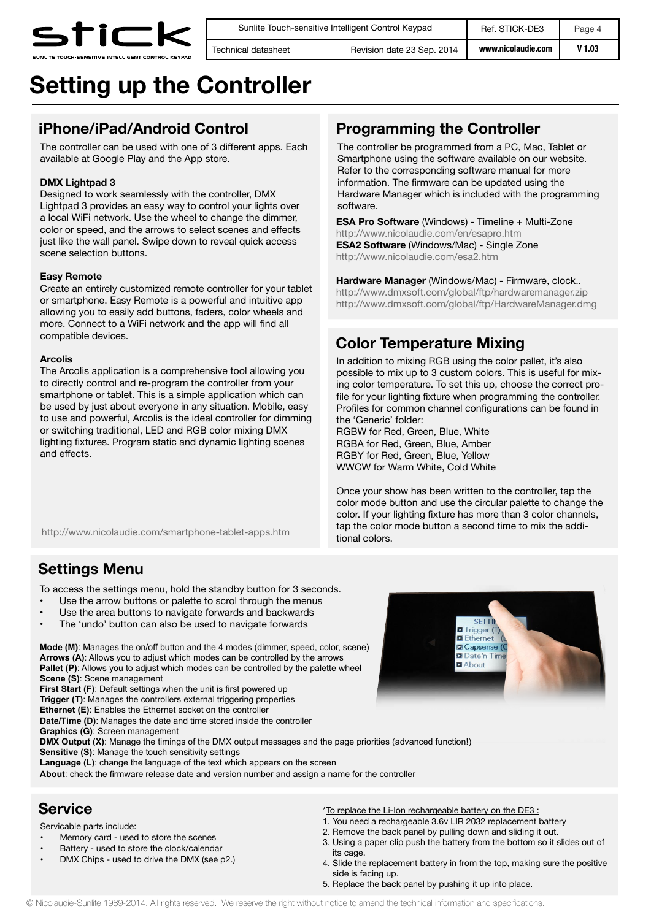

**www.nicolaudie.com** Sunlite Touch-sensitive Intelligent Control Keypad Ref. STICK-DE3 Page 4 Technical datasheet **Revision date 23 Sep. 2014 With Wille** W 1.03

## **Setting up the Controller**

#### **iPhone/iPad/Android Control**

The controller can be used with one of 3 different apps. Each available at Google Play and the App store.

#### **DMX Lightpad 3**

Designed to work seamlessly with the controller, DMX Lightpad 3 provides an easy way to control your lights over a local WiFi network. Use the wheel to change the dimmer, color or speed, and the arrows to select scenes and effects just like the wall panel. Swipe down to reveal quick access scene selection buttons.

#### **Easy Remote**

Create an entirely customized remote controller for your tablet or smartphone. Easy Remote is a powerful and intuitive app allowing you to easily add buttons, faders, color wheels and more. Connect to a WiFi network and the app will find all compatible devices.

#### **Arcolis**

The Arcolis application is a comprehensive tool allowing you to directly control and re-program the controller from your smartphone or tablet. This is a simple application which can be used by just about everyone in any situation. Mobile, easy to use and powerful, Arcolis is the ideal controller for dimming or switching traditional, LED and RGB color mixing DMX lighting fixtures. Program static and dynamic lighting scenes and effects.

#### **Programming the Controller**

The controller be programmed from a PC, Mac, Tablet or Smartphone using the software available on our website. Refer to the corresponding software manual for more information. The firmware can be updated using the Hardware Manager which is included with the programming software.

**ESA Pro Software** (Windows) - Timeline + Multi-Zone http://www.nicolaudie.com/en/esapro.htm **ESA2 Software** (Windows/Mac) - Single Zone http://www.nicolaudie.com/esa2.htm

**Hardware Manager** (Windows/Mac) - Firmware, clock.. http://www.dmxsoft.com/global/ftp/hardwaremanager.zip http://www.dmxsoft.com/global/ftp/HardwareManager.dmg

#### **Color Temperature Mixing**

In addition to mixing RGB using the color pallet, it's also possible to mix up to 3 custom colors. This is useful for mixing color temperature. To set this up, choose the correct profile for your lighting fixture when programming the controller. Profiles for common channel configurations can be found in the 'Generic' folder:

RGBW for Red, Green, Blue, White RGBA for Red, Green, Blue, Amber RGBY for Red, Green, Blue, Yellow WWCW for Warm White, Cold White

Once your show has been written to the controller, tap the color mode button and use the circular palette to change the color. If your lighting fixture has more than 3 color channels, tap the color mode button a second time to mix the additional colors.

http://www.nicolaudie.com/smartphone-tablet-apps.htm

#### **Settings Menu**

To access the settings menu, hold the standby button for 3 seconds.

- Use the arrow buttons or palette to scrol through the menus
- Use the area buttons to navigate forwards and backwards
- The 'undo' button can also be used to navigate forwards

**Mode (M)**: Manages the on/off button and the 4 modes (dimmer, speed, color, scene) **Arrows (A)**: Allows you to adjust which modes can be controlled by the arrows **Pallet (P):** Allows you to adjust which modes can be controlled by the palette wheel **Scene (S)**: Scene management

**First Start (F):** Default settings when the unit is first powered up **Trigger (T)**: Manages the controllers external triggering properties **Ethernet (E)**: Enables the Ethernet socket on the controller

**Date/Time (D)**: Manages the date and time stored inside the controller

**Graphics (G)**: Screen management

**DMX Output (X)**: Manage the timings of the DMX output messages and the page priorities (advanced function!)

**Sensitive (S)**: Manage the touch sensitivity settings

**Language (L)**: change the language of the text which appears on the screen

**About**: check the firmware release date and version number and assign a name for the controller

#### **Service**

Servicable parts include:

- Memory card used to store the scenes
- Battery used to store the clock/calendar
- DMX Chips used to drive the DMX (see p2.)



\*To replace the Li-Ion rechargeable battery on the DE3 : 1. You need a rechargeable 3.6v LIR 2032 replacement battery

- 2. Remove the back panel by pulling down and sliding it out.
- 3. Using a paper clip push the battery from the bottom so it slides out of its cage.
- 4. Slide the replacement battery in from the top, making sure the positive side is facing up.
- 5. Replace the back panel by pushing it up into place.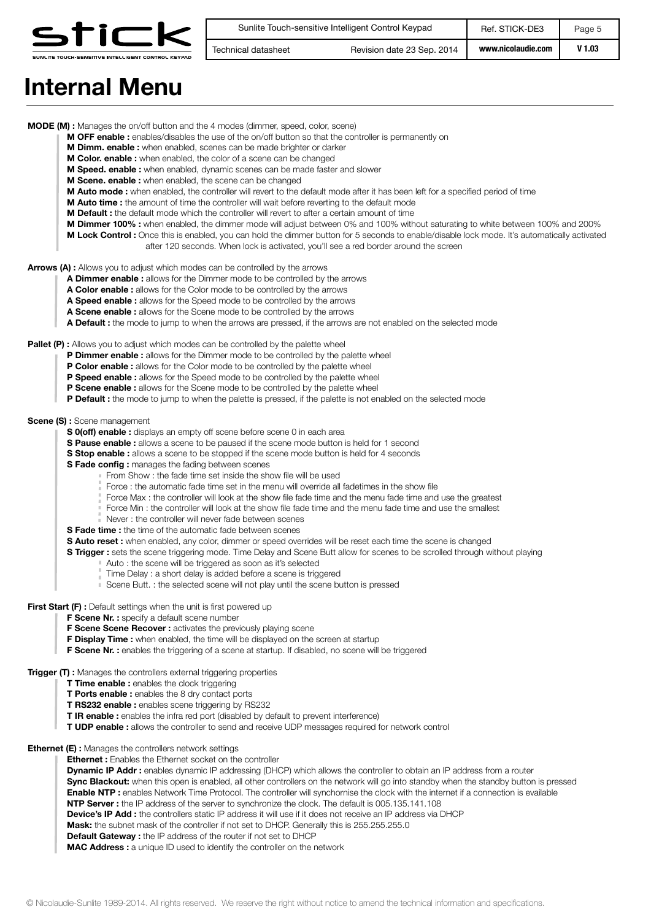

| Sunlite Touch-sensitive Intelligent Control Keypad |                            | Ref. STICK-DE3     | Page 5 |
|----------------------------------------------------|----------------------------|--------------------|--------|
| Technical datasheet                                | Revision date 23 Sep. 2014 | www.nicolaudie.com | V 1.03 |

## **Internal Menu**

**MODE (M) :** Manages the on/off button and the 4 modes (dimmer, speed, color, scene)

- **M OFF enable :** enables/disables the use of the on/off button so that the controller is permanently on
- **M Dimm. enable :** when enabled, scenes can be made brighter or darker
- **M Color. enable :** when enabled, the color of a scene can be changed
- **M Speed. enable :** when enabled, dynamic scenes can be made faster and slower
- **M Scene. enable :** when enabled, the scene can be changed
- **M Auto mode :** when enabled, the controller will revert to the default mode after it has been left for a specified period of time
- **M Auto time :** the amount of time the controller will wait before reverting to the default mode
- **M Default :** the default mode which the controller will revert to after a certain amount of time
- **M Dimmer 100% :** when enabled, the dimmer mode will adjust between 0% and 100% without saturating to white between 100% and 200%
- **M Lock Control :** Once this is enabled, you can hold the dimmer button for 5 seconds to enable/disable lock mode. It's automatically activated after 120 seconds. When lock is activated, you'll see a red border around the screen

**Arrows (A) :** Allows you to adjust which modes can be controlled by the arrows

- **A Dimmer enable :** allows for the Dimmer mode to be controlled by the arrows
	- **A Color enable :** allows for the Color mode to be controlled by the arrows
	- **A Speed enable :** allows for the Speed mode to be controlled by the arrows
	- **A Scene enable :** allows for the Scene mode to be controlled by the arrows
- **A Default :** the mode to jump to when the arrows are pressed, if the arrows are not enabled on the selected mode

#### **Pallet (P) :** Allows you to adjust which modes can be controlled by the palette wheel

- **P Dimmer enable :** allows for the Dimmer mode to be controlled by the palette wheel
- **P Color enable :** allows for the Color mode to be controlled by the palette wheel
- **P Speed enable :** allows for the Speed mode to be controlled by the palette wheel
- **P Scene enable :** allows for the Scene mode to be controlled by the palette wheel
- **P Default :** the mode to jump to when the palette is pressed, if the palette is not enabled on the selected mode

#### **Scene (S) :** Scene management

- **S 0(off) enable :** displays an empty off scene before scene 0 in each area
- **S Pause enable :** allows a scene to be paused if the scene mode button is held for 1 second
- **S Stop enable :** allows a scene to be stopped if the scene mode button is held for 4 seconds
- **S Fade config :** manages the fading between scenes
	- From Show : the fade time set inside the show file will be used
	- Force : the automatic fade time set in the menu will override all fadetimes in the show file
	- Force Max : the controller will look at the show file fade time and the menu fade time and use the greatest
	- Force Min : the controller will look at the show file fade time and the menu fade time and use the smallest
	- Never : the controller will never fade between scenes
- **S Fade time :** the time of the automatic fade between scenes
- **S Auto reset :** when enabled, any color, dimmer or speed overrides will be reset each time the scene is changed
- **S Trigger :** sets the scene triggering mode. Time Delay and Scene Butt allow for scenes to be scrolled through without playing
	- Auto : the scene will be triggered as soon as it's selected
	- Time Delay : a short delay is added before a scene is triggered
	- Scene Butt. : the selected scene will not play until the scene button is pressed

**First Start (F) :** Default settings when the unit is first powered up

- **F Scene Nr. :** specify a default scene number
- **F Scene Scene Recover :** activates the previously playing scene
- **F Display Time :** when enabled, the time will be displayed on the screen at startup
- **F Scene Nr. :** enables the triggering of a scene at startup. If disabled, no scene will be triggered

**Trigger (T) :** Manages the controllers external triggering properties

- **T Time enable :** enables the clock triggering
	- **T Ports enable :** enables the 8 dry contact ports
	- **T RS232 enable :** enables scene triggering by RS232
	- **T IR enable :** enables the infra red port (disabled by default to prevent interference)
- **T UDP enable :** allows the controller to send and receive UDP messages required for network control

**Ethernet (E):** Manages the controllers network settings

**Ethernet :** Enables the Ethernet socket on the controller

**Dynamic IP Addr :** enables dynamic IP addressing (DHCP) which allows the controller to obtain an IP address from a router **Sync Blackout:** when this open is enabled, all other controllers on the network will go into standby when the standby button is pressed **Enable NTP :** enables Network Time Protocol. The controller will synchornise the clock with the internet if a connection is evailable **NTP Server :** the IP address of the server to synchronize the clock. The default is 005.135.141.108 **Device's IP Add :** the controllers static IP address it will use if it does not receive an IP address via DHCP **Mask:** the subnet mask of the controller if not set to DHCP. Generally this is 255.255.255.0 **Default Gateway :** the IP address of the router if not set to DHCP **MAC Address :** a unique ID used to identify the controller on the network